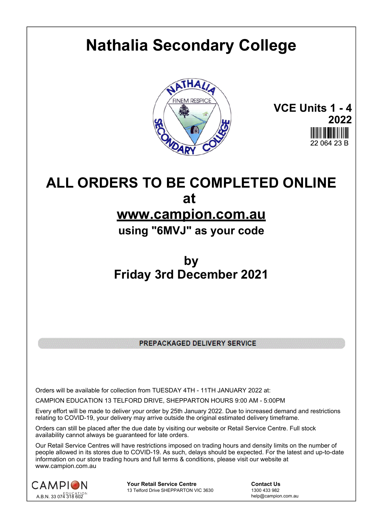# **Nathalia Secondary College**



**VCE Units 1 - 4 2022** 22 064 23 B

## **ALL ORDERS TO BE COMPLETED ONLINE at www.campion.com.au**

**using "6MVJ" as your code**

## **by Friday 3rd December 2021**

PREPACKAGED DELIVERY SERVICE

Orders will be available for collection from TUESDAY 4TH - 11TH JANUARY 2022 at:

CAMPION EDUCATION 13 TELFORD DRIVE, SHEPPARTON HOURS 9:00 AM - 5:00PM

Every effort will be made to deliver your order by 25th January 2022. Due to increased demand and restrictions relating to COVID-19, your delivery may arrive outside the original estimated delivery timeframe.

Orders can still be placed after the due date by visiting our website or Retail Service Centre. Full stock availability cannot always be guaranteed for late orders.

Our Retail Service Centres will have restrictions imposed on trading hours and density limits on the number of people allowed in its stores due to COVID-19. As such, delays should be expected. For the latest and up-to-date information on our store trading hours and full terms & conditions, please visit our website at www.campion.com.au



**Your Retail Service Centre Contact Us**13 Telford Drive SHEPPARTON VIC 3630

1300 433 982 13 Telford Drive SHEPPARTON VIC 3630

help@campion.com.au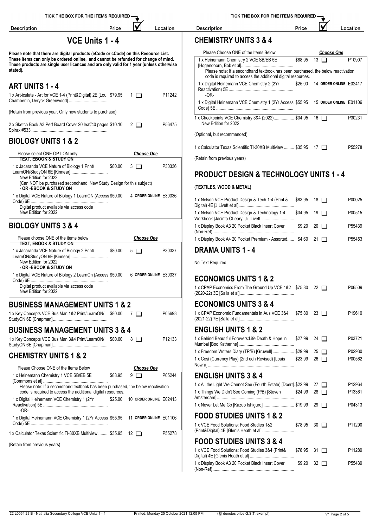| TICK THE BOX FOR THE ITEMS REQUIRED -                                                                                                                                         |                        |                   |                        | TICK THE BOX FOR THE ITEMS REQUIRED-                                                                                                             |         |                        |          |
|-------------------------------------------------------------------------------------------------------------------------------------------------------------------------------|------------------------|-------------------|------------------------|--------------------------------------------------------------------------------------------------------------------------------------------------|---------|------------------------|----------|
| <b>Description</b>                                                                                                                                                            | Price                  |                   | Location               | <b>Description</b>                                                                                                                               | Price   |                        | Location |
|                                                                                                                                                                               | <b>VCE Units 1 - 4</b> |                   |                        | <b>CHEMISTRY UNITS 3 &amp; 4</b>                                                                                                                 |         |                        |          |
| Please note that there are digital products (eCode or cCode) on this Resource List.                                                                                           |                        |                   |                        | Please Choose ONE of the Items Below                                                                                                             |         | <b>Choose One</b>      |          |
| These items can only be ordered online, and cannot be refunded for change of mind.<br>These products are single user licences and are only valid for 1 year (unless otherwise |                        |                   |                        | 1 x Heinemann Chemistry 2 VCE SB/EB 5E                                                                                                           | \$88.95 | $\overline{13}$ $\Box$ | P10907   |
| stated).                                                                                                                                                                      |                        |                   |                        | Please note: If a secondhand textbook has been purchased, the below reactivation<br>code is required to access the additional digital resources. |         |                        |          |
| <b>ART UNITS 1 - 4</b>                                                                                                                                                        |                        |                   |                        | 1 x Digital Heinemann VCE Chemistry 2 (2Yr                                                                                                       | \$25.00 | 14 ORDER ONLINE E02417 |          |
| 1 x Art-iculate - Art for VCE 1-4 (Print&Digital) 2E [Lou \$79.95                                                                                                             |                        | $\Box$ 1          | P11242                 | $-OR-$                                                                                                                                           |         |                        |          |
| (Retain from previous year. Only new students to purchase)                                                                                                                    |                        |                   |                        | 1 x Digital Heinemann VCE Chemistry 1 (2Yr Access \$55.95 15 ORDER ONLINE E01106                                                                 |         |                        |          |
| 2 x Sketch Book A3 Perf Board Cover 20 leaf/40 pages \$10.10                                                                                                                  |                        | $2\Box$           | P56475                 | 1 x Checkpoints VCE Chemistry 3&4 (2022) \$34.95 16<br>New Edition for 2022                                                                      |         |                        | P30231   |
|                                                                                                                                                                               |                        |                   |                        | (Optional, but recommended)                                                                                                                      |         |                        |          |
| <b>BIOLOGY UNITS 1 &amp; 2</b>                                                                                                                                                |                        |                   |                        | 1 x Calculator Texas Scientific TI-30XB Multiview  \$35.95 17                                                                                    |         |                        | P55278   |
| Please select ONE OPTION only:<br>TEXT, EBOOK & STUDY ON                                                                                                                      |                        | <b>Choose One</b> |                        | (Retain from previous years)                                                                                                                     |         |                        |          |
| 1 x Jacaranda VCE Nature of Biology 1 Print/<br>LearnON/StudyON 6E [Kinnear]                                                                                                  | \$80.00                | $3\Box$           | P30336                 |                                                                                                                                                  |         |                        |          |
| New Edition for 2022<br>(Can NOT be purchased secondhand. New Study Design for this subject)                                                                                  |                        |                   |                        | <b>PRODUCT DESIGN &amp; TECHNOLOGY UNITS 1 - 4</b>                                                                                               |         |                        |          |
| - OR -EBOOK & STUDY ON                                                                                                                                                        |                        |                   |                        | (TEXTILES, WOOD & METAL)                                                                                                                         |         |                        |          |
| 1 x Digital VCE Nature of Biology 1 LearnON (Access \$50.00                                                                                                                   |                        |                   | 4 ORDER ONLINE E30336  | 1 x Nelson VCE Product Design & Tech 1-4 (Print &                                                                                                | \$83.95 | $18$ $\Box$            | P00025   |
| Digital product available via access code<br>New Edition for 2022                                                                                                             |                        |                   |                        | 1 x Nelson VCE Product Design & Technology 1-4<br>Workbook [Jacinta OLeary, Jill Livett]                                                         | \$34.95 | $19$ $\Box$            | P00515   |
| <b>BIOLOGY UNITS 3 &amp; 4</b>                                                                                                                                                |                        |                   |                        | 1 x Display Book A3 20 Pocket Black Insert Cover                                                                                                 |         | $$9.20$ 20 $\Box$      | P55439   |
| Please choose ONE of the items below                                                                                                                                          |                        | <u>Choose One</u> |                        | 1 x Display Book A4 20 Pocket Premium - Assorted \$4.60 21                                                                                       |         |                        | P55453   |
| <b>TEXT, EBOOK &amp; STUDY ON</b><br>1 x Jacaranda VCE Nature of Biology 2 Print/                                                                                             | \$80.00                | $5\Box$           | P30337                 | <b>DRAMA UNITS 1 - 4</b>                                                                                                                         |         |                        |          |
| New Edition for 2022<br>- OR -EBOOK & STUDY ON                                                                                                                                |                        |                   |                        | No Text Required                                                                                                                                 |         |                        |          |
| 1 x Digital VCE Nature of Biology 2 LearnOn (Access \$50.00                                                                                                                   |                        |                   | 6 ORDER ONLINE E30337  | <b>ECONOMICS UNITS 1 &amp; 2</b>                                                                                                                 |         |                        |          |
| Digital product available via access code                                                                                                                                     |                        |                   |                        | 1 x CPAP Economics From The Ground Up VCE 1&2 \$75.80 22                                                                                         |         |                        | P06509   |
| New Edition for 2022                                                                                                                                                          |                        |                   |                        |                                                                                                                                                  |         |                        |          |
| <b>BUSINESS MANAGEMENT UNITS 1 &amp; 2</b>                                                                                                                                    |                        |                   |                        | <b>ECONOMICS UNITS 3 &amp; 4</b>                                                                                                                 |         |                        |          |
| 1 x Key Concepts VCE Bus Man 1&2 Print/LearnON/ \$80.00 7                                                                                                                     |                        |                   | P05693                 | 1 x CPAP Economic Fundamentals in Aus VCE 3&4                                                                                                    |         | \$75.80 23 □           | P19610   |
| <b>BUSINESS MANAGEMENT UNITS 3 &amp; 4</b>                                                                                                                                    |                        |                   |                        | <b>ENGLISH UNITS 1 &amp; 2</b>                                                                                                                   |         |                        |          |
| 1 x Key Concepts VCE Bus Man 3&4 Print/LearnON/ \$80.00 8                                                                                                                     |                        |                   | P12133                 | 1 x Behind Beautiful Forevers: Life Death & Hope in                                                                                              | \$27.99 | 24 $\Box$              | P03721   |
| <b>CHEMISTRY UNITS 1 &amp; 2</b>                                                                                                                                              |                        |                   |                        | 1 x Freedom Writers Diary (TP/B) [Gruwell] \$29.99                                                                                               |         | $25$ $\Box$            | P02930   |
| Please Choose ONE of the Items Below                                                                                                                                          |                        | <b>Choose One</b> |                        | 1 x Cosi (Currency Play) (2nd edn Revised) [Louis                                                                                                |         | $$23.99$ 26 $\Box$     | P00562   |
| 1 x Heinemann Chemistry 1 VCE SB/EB 5E                                                                                                                                        | \$88.95                | $9$ $\Box$        | P05244                 | <b>ENGLISH UNITS 3 &amp; 4</b>                                                                                                                   |         |                        |          |
| Please note: If a secondhand textbook has been purchased, the below reactivation                                                                                              |                        |                   |                        | 1 x All the Light We Cannot See (Fourth Estate) [Doerr]. \$22.99                                                                                 |         | 27 $\Box$              | P12964   |
| code is required to access the additional digital resources.<br>1 x Digital Heinemann VCE Chemistry 1 (2Yr                                                                    | \$25.00                |                   | 10 ORDER ONLINE E02413 | 1 x Things We Didn't See Coming (P/B) [Steven                                                                                                    | \$24.99 | $28$ $\Box$            | P13361   |
| $-OR-$                                                                                                                                                                        |                        |                   |                        | 1 x Never Let Me Go [Kazuo Ishiguro]  \$19.99 29                                                                                                 |         |                        | P04313   |
| 1 x Digital Heinemann VCE Chemistry 1 (2Yr Access \$55.95 11 ORDER ONLINE E01106                                                                                              |                        |                   |                        | <b>FOOD STUDIES UNITS 1 &amp; 2</b>                                                                                                              |         |                        |          |
| 1 x Calculator Texas Scientific TI-30XB Multiview  \$35.95 12                                                                                                                 |                        |                   | P55278                 | 1 x VCE Food Solutions: Food Studies 1&2<br>(Print&Digital) 4E [Glenis Heath et al]                                                              |         | $$78.95$ 30 $\Box$     | P11290   |
| (Retain from previous years)                                                                                                                                                  |                        |                   |                        | <b>FOOD STUDIES UNITS 3 &amp; 4</b>                                                                                                              |         |                        |          |
|                                                                                                                                                                               |                        |                   |                        | 1 x VCE Food Solutions: Food Studies 3&4 (Print&                                                                                                 |         | $$78.95$ 31 $\Box$     | P11289   |

| TICK THE BOX FOR THE ITEMS REQUIRED |  |  |
|-------------------------------------|--|--|
|-------------------------------------|--|--|

| <b>REQUIRED-</b> |          |
|------------------|----------|
| Price            | Location |
|                  |          |

|      | Please Choose ONE of the Items Below                                                                                                                                                       |         |    | <b>Choose One</b>      |                    |
|------|--------------------------------------------------------------------------------------------------------------------------------------------------------------------------------------------|---------|----|------------------------|--------------------|
|      | 1 x Heinemann Chemistry 2 VCE SB/EB 5E<br>Please note: If a secondhand textbook has been purchased, the below reactivation<br>code is required to access the additional digital resources. | \$88.95 | 13 |                        | P <sub>10907</sub> |
| -OR- | 1 x Digital Heinemann VCE Chemistry 2 (2Yr                                                                                                                                                 | \$25.00 |    | 14 ORDER ONLINE E02417 |                    |
|      | 1 x Digital Heinemann VCE Chemistry 1 (2Yr Access \$55.95)                                                                                                                                 |         |    | 15 ORDER ONLINE E01106 |                    |
|      | 1 x Checkpoints VCE Chemistry 3&4 (2022) \$34.95<br>New Edition for 2022                                                                                                                   |         | 16 |                        | P30231             |
|      | (Optional, but recommended)                                                                                                                                                                |         |    |                        |                    |
|      | 1 x Calculator Texas Scientific TI-30XB Multiview  \$35.95                                                                                                                                 |         | 17 |                        | P55278             |
|      | (Patain from pravious vagre)                                                                                                                                                               |         |    |                        |                    |

#### **(TEXTILES, WOOD & METAL)**

| 1 x Nelson VCE Product Design & Tech 1-4 (Print &          | \$83.95 18 <b>I</b> | P00025             |
|------------------------------------------------------------|---------------------|--------------------|
| 1 x Nelson VCE Product Design & Technology 1-4             | $$34.95$ 19 1       | P00515             |
| 1 x Display Book A3 20 Pocket Black Insert Cover           | $$9.20$ 20 $\Box$   | P55439             |
| 1 x Display Book A4 20 Pocket Premium - Assorted \$4.60 21 |                     | P <sub>55453</sub> |

| 1 x CPAP Economics From The Ground Up VCE 1&2 \$75.80<br>P06509<br>22               |
|-------------------------------------------------------------------------------------|
| <b>ECONOMICS UNITS 3 &amp; 4</b>                                                    |
| 1 x CPAP Economic Fundamentals in Aus VCE 3&4<br>P19610<br>\$75.80<br>$23 \Box$     |
| <b>ENGLISH UNITS 1 &amp; 2</b>                                                      |
| 1 x Behind Beautiful Forevers: Life Death & Hope in<br>\$27.99<br>P03721<br>24      |
| 1 x Freedom Writers Diary (TP/B) [Gruwell] \$29.99<br>P02930<br>25                  |
| 1 x Cosi (Currency Play) (2nd edn Revised) [Louis<br>\$23.99<br>P00562<br>26        |
| <b>ENGLISH UNITS 3 &amp; 4</b>                                                      |
| 1 x All the Light We Cannot See (Fourth Estate) [Doerr] \$22.99<br>P12964<br>27     |
| 1 x Things We Didn't See Coming (P/B) [Steven<br>\$24.99<br>28<br>P13361            |
| 1 x Never Let Me Go [Kazuo Ishiguro]  \$19.99<br>P04313<br>29                       |
| <b>FOOD STUDIES UNITS 1 &amp; 2</b>                                                 |
| 1 x VCE Food Solutions: Food Studies 1&2<br>\$78.95<br>30<br>P11290<br>$\mathbf{1}$ |
| <b>FOOD STUDIES UNITS 3 &amp; 4</b>                                                 |
| 1 x VCE Food Solutions: Food Studies 3&4 (Print&<br>P11289<br>\$78.95<br>$31 \Box$  |
|                                                                                     |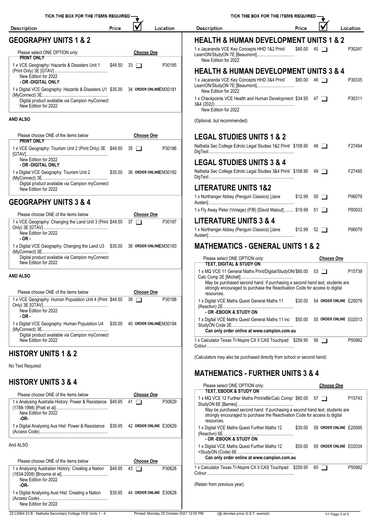| TICK THE BOX FOR THE ITEMS REQUIRED –                                                                  |       |                    |                                          | TICK THE BOX FOR THE ITEMS REQUIRED.                                                                                                                                      |                              |                           |                |
|--------------------------------------------------------------------------------------------------------|-------|--------------------|------------------------------------------|---------------------------------------------------------------------------------------------------------------------------------------------------------------------------|------------------------------|---------------------------|----------------|
| <b>Description</b>                                                                                     | Price |                    | Location                                 | <b>Description</b><br>Price                                                                                                                                               |                              |                           | Loca           |
| <b>GEOGRAPHY UNITS 1 &amp; 2</b>                                                                       |       |                    |                                          | <b>HEALTH &amp; HUMAN DEVELOPMENT UNITS 1 &amp; 2</b>                                                                                                                     |                              |                           |                |
| Please select ONE OPTION only:<br><b>PRINT ONLY</b>                                                    |       | <b>Choose One</b>  |                                          | 1 x Jacaranda VCE Key Concepts HHD 1&2 Print/<br>LearnON/StudyON 7E [Beaumont]<br>New Edition for 2022                                                                    | $$80.00 \quad 45 \quad \Box$ |                           | Р              |
| 1 x VCE Geography: Hazards & Disasters Unit 1<br>New Edition for 2022                                  |       | $$49.50$ 33 $\Box$ | P30185                                   | <b>HEALTH &amp; HUMAN DEVELOPMENT UNITS 3 &amp; 4</b><br>1 x Jacaranda VCE Key Concepts HHD 3&4 Print/                                                                    | \$80.00 46                   |                           |                |
| - OR -DIGITAL ONLY<br>1 x Digital VCE Geography: Hazards & Disasters U1 \$35.00 34 ORDER ONLINEEM30181 |       |                    |                                          | New Edition for 2022                                                                                                                                                      |                              |                           |                |
| Digital product available via Campion myConnect<br>New Edition for 2022                                |       |                    |                                          | 1 x Checkpoints VCE Health and Human Development \$34.95 47<br>New Edition for 2022                                                                                       |                              |                           |                |
| <b>AND ALSO</b>                                                                                        |       |                    |                                          | (Optional, but recommended)                                                                                                                                               |                              |                           |                |
| Please choose ONE of the items below<br><b>PRINT ONLY</b>                                              |       | <b>Choose One</b>  |                                          | <b>LEGAL STUDIES UNITS 1 &amp; 2</b>                                                                                                                                      |                              |                           |                |
| 1 x VCE Geography: Tourism Unit 2 (Print Only) 3E \$49.50 35<br>New Edition for 2022                   |       |                    | P30186                                   | Nathalia Sec College Edrolo Legal Studies 1&2 Print/ \$108.90 48                                                                                                          |                              |                           |                |
| - OR -DIGITAL ONLY<br>1 x Digital VCE Geography: Tourism Unit 2 \$35.00 36 ORDER ONLINE M30182         |       |                    |                                          | <b>LEGAL STUDIES UNITS 3 &amp; 4</b><br>Nathalia Sec College Edrolo Legal Studies 3&4 Print/ \$108.90 49                                                                  |                              |                           |                |
| Digital product available via Campion myConnect<br>New Edition for 2022                                |       |                    |                                          | <b>LITERATURE UNITS 1&amp;2</b>                                                                                                                                           |                              |                           |                |
| <b>GEOGRAPHY UNITS 3 &amp; 4</b>                                                                       |       |                    |                                          | 1 x Northanger Abbey (Penguin Classics) [Jane<br>\$12.99                                                                                                                  |                              | $50$ $\Box$               |                |
| Please choose ONE of the items below                                                                   |       | <b>Choose One</b>  |                                          | 1 x Fly Away Peter (Vintage) (P/B) [David Malouf] \$19.99 51                                                                                                              |                              |                           |                |
| 1 x VCE Geography: Changing the Land Unit 3 (Print \$49.50 37<br>New Edition for 2022                  |       |                    | P30187                                   | <b>LITERATURE UNITS 3 &amp; 4</b><br>1 x Northanger Abbey (Penguin Classics) [Jane                                                                                        | $$12.99$ 52 $\Box$           |                           |                |
| $-OR -$<br>1 x Digital VCE Geography: Changing the Land U3 \$35.00 38 ORDER ONLINE M30183              |       |                    |                                          | <b>MATHEMATICS - GENERAL UNITS 1 &amp; 2</b>                                                                                                                              |                              |                           |                |
| Digital product available via Campion myConnect<br>New Edition for 2022                                |       |                    |                                          | Please select ONE OPTION only:<br><b>TEXT, DIGITAL &amp; STUDY ON</b>                                                                                                     |                              | <b>Choose One</b>         |                |
| <b>AND ALSO</b>                                                                                        |       |                    |                                          | 1 x MQ VCE 11 General Maths Print/Digital/StudyON/\$80.00 53<br>May be purchased second hand. If purchasing a second hand text, students are                              |                              |                           |                |
| Please choose ONE of the items below                                                                   |       | <b>Choose One</b>  |                                          | strongly encouraged to purchase the Reactivation Code for access to digital<br>resources.                                                                                 |                              |                           |                |
| 1 x VCE Geography: Human Population Unit 4 (Print \$49.50 39<br>New Edition for 2022                   |       |                    | P30188                                   | 1 x Digital VCE Maths Quest General Maths 11<br>\$30.00<br>- OR -EBOOK & STUDY ON                                                                                         |                              | 54 ORDER ONLINE E         |                |
| $-OR -$<br>1 x Digital VCE Geography: Human Population U4 \$35.00 40 ORDER ONLINEEM30184               |       |                    |                                          | 1 x Digital VCE Maths Quest General Maths 11 inc \$50.00 55 ORDER ONLINE E<br>Can only order online at www.campion.com.au                                                 |                              |                           |                |
| Digital product available via Campion myConnect<br>New Edition for 2022                                |       |                    |                                          | 1 x Calculator Texas TI-Nspire CX II CAS Touchpad \$259.95 56                                                                                                             |                              |                           | Р              |
| <b>HISTORY UNITS 1 &amp; 2</b>                                                                         |       |                    |                                          | (Calculators may also be purchased directly from school or second hand)                                                                                                   |                              |                           |                |
| No Text Required                                                                                       |       |                    |                                          | <b>MATHEMATICS - FURTHER UNITS 3 &amp; 4</b>                                                                                                                              |                              |                           |                |
| <b>HISTORY UNITS 3 &amp; 4</b>                                                                         |       |                    |                                          | Please select ONE OPTION only:                                                                                                                                            |                              | <b>Choose One</b>         |                |
| Please choose ONE of the items below<br>1 x Analysing Australia History: Power & Resistance \$49.95 41 |       | <b>Choose One</b>  | P30629                                   | <b>TEXT, EBOOK &amp; STUDY ON</b><br>1 x MQ VCE 12 Further Maths Print/eBk/Calc Comp/ \$80.00 57                                                                          |                              |                           |                |
| New Edition for 2022<br>-OR-                                                                           |       |                    |                                          | May be purchased second hand. If purchasing a second hand text, students are<br>strongly encouraged to purchase the Reactivation Code for access to digital<br>resources. |                              |                           |                |
| 1 x Digital Analysing Aus Hist: Power & Resistance \$39.95 42 ORDER ONLINE E30629                      |       |                    |                                          | 1 x Digital VCE Maths Quest Further Maths 12<br>- OR -EBOOK & STUDY ON                                                                                                    |                              | \$30.00 58 ORDER ONLINE E |                |
| And ALSO                                                                                               |       |                    |                                          | 1 x Digital VCE Maths Quest Further Maths 12                                                                                                                              |                              | \$50.00 59 ORDER ONLINE E |                |
| Please choose ONE of the items below                                                                   |       | <b>Choose One</b>  |                                          | Can only order online at www.campion.com.au<br>1 x Calculator Texas TI-Nspire CX II CAS Touchpad \$259.95 60                                                              |                              |                           | Р              |
| 1 x Analysing Australian History: Creating a Nation \$49.95 43<br>New Edition for 2022                 |       |                    | P30628                                   | (Retain from previous year)                                                                                                                                               |                              |                           |                |
| -OR-<br>1 x Digital Analysing Aust Hist: Creating a Nation<br>New Edition for 2022                     |       |                    | \$39.95 44 ORDER ONLINE E30628           |                                                                                                                                                                           |                              |                           |                |
| 22 L0064 23 B - Nathalia Secondary College VCE Units 1 - 4                                             |       |                    | Printed: Monday 25 October 2021 12:05 PM | (@ denotes price G.S.T. exempt)                                                                                                                                           |                              |                           | V1 Page 3 of 5 |

| <b>Description</b>                                                                                                                                                        | Price   |             |                        | Location           |
|---------------------------------------------------------------------------------------------------------------------------------------------------------------------------|---------|-------------|------------------------|--------------------|
| <b>HEALTH &amp; HUMAN DEVELOPMENT UNITS 1 &amp; 2</b>                                                                                                                     |         |             |                        |                    |
| 1 x Jacaranda VCE Key Concepts HHD 1&2 Print/<br>LearnON/StudyON 7E [Beaumont]<br>New Edition for 2022                                                                    | \$80.00 | $45\Box$    |                        | P30247             |
| HEALTH & HUMAN DEVELOPMENT UNITS 3 & 4                                                                                                                                    |         |             |                        |                    |
| 1 x Jacaranda VCE Key Concepts HHD 3&4 Print/<br>LearnON/StudyON 7E [Beaumont]<br>New Edition for 2022                                                                    | \$80.00 | 46 <b>1</b> |                        | P30335             |
| 1 x Checkpoints VCE Health and Human Development \$34.95 47<br>New Edition for 2022                                                                                       |         |             |                        | P30311             |
| (Optional, but recommended)                                                                                                                                               |         |             |                        |                    |
| <b>LEGAL STUDIES UNITS 1 &amp; 2</b>                                                                                                                                      |         |             |                        |                    |
| Nathalia Sec College Edrolo Legal Studies 1&2 Print/ \$108.90                                                                                                             |         | 48 <b>1</b> |                        | F27494             |
| <b>LEGAL STUDIES UNITS 3 &amp; 4</b>                                                                                                                                      |         |             |                        |                    |
| Nathalia Sec College Edrolo Legal Studies 3&4 Print/ \$108.90                                                                                                             |         | $49$ $\Box$ |                        | F27495             |
| <b>LITERATURE UNITS 1&amp;2</b>                                                                                                                                           |         |             |                        |                    |
| 1 x Northanger Abbey (Penguin Classics) [Jane                                                                                                                             | \$12.99 | $50$ $\Box$ |                        | P06079             |
| 1 x Fly Away Peter (Vintage) (P/B) [David Malouf] \$19.99                                                                                                                 |         | $51$ $\Box$ |                        | P00933             |
| <b>LITERATURE UNITS 3 &amp; 4</b>                                                                                                                                         |         |             |                        |                    |
| 1 x Northanger Abbey (Penguin Classics) [Jane                                                                                                                             | \$12.99 | $52 \Box$   |                        | P06079             |
| <b>MATHEMATICS - GENERAL UNITS 1 &amp; 2</b>                                                                                                                              |         |             |                        |                    |
| Please select ONE OPTION only:                                                                                                                                            |         |             | <b>Choose One</b>      |                    |
| TEXT, DIGITAL & STUDY ON<br>1 x MQ VCE 11 General Maths Print/Digital/StudyON/\$80.00 53                                                                                  |         |             |                        | P <sub>15739</sub> |
| May be purchased second hand. If purchasing a second hand text, students are<br>strongly encouraged to purchase the Reactivation Code for access to digital<br>resources. |         |             |                        |                    |
| 1 x Digital VCE Maths Quest General Maths 11<br>- OR -EBOOK & STUDY ON                                                                                                    | \$30.00 |             | 54 ORDER ONLINE E20079 |                    |
| 1 x Digital VCE Maths Quest General Maths 11 inc                                                                                                                          | \$50.00 |             | 55 ORDER ONLINE E02013 |                    |
| Can only order online at www.campion.com.au                                                                                                                               |         |             |                        |                    |
| 1 x Calculator Texas TI-Nspire CX II CAS Touchpad \$259.95                                                                                                                |         | 56 L        |                        | P50982             |

TICK THE BOX FOR THE ITEMS REQUIRED

### **MATHEMATICS - FURTHER UNITS 3 & 4**

| Please select ONE OPTION only:                                                                                                                                            |          |    | <b>Choose One</b>      |                    |
|---------------------------------------------------------------------------------------------------------------------------------------------------------------------------|----------|----|------------------------|--------------------|
| TEXT, EBOOK & STUDY ON                                                                                                                                                    |          |    |                        |                    |
| 1 x MQ VCE 12 Further Maths Print/eBk/Calc Comp/ \$80.00 57                                                                                                               |          |    |                        | P <sub>15743</sub> |
| May be purchased second hand. If purchasing a second hand text, students are<br>strongly encouraged to purchase the Reactivation Code for access to digital<br>resources. |          |    |                        |                    |
| 1 x Digital VCE Maths Quest Further Maths 12                                                                                                                              | \$30.00  |    | 58 ORDER ONLINE E20085 |                    |
| - OR -EBOOK & STUDY ON                                                                                                                                                    |          |    |                        |                    |
| 1 x Digital VCE Maths Quest Further Maths 12                                                                                                                              | \$50.00  |    | 59 ORDER ONLINE E02034 |                    |
| Can only order online at www.campion.com.au                                                                                                                               |          |    |                        |                    |
| 1 x Calculator Texas TI-Nspire CX II CAS Touchpad                                                                                                                         | \$259.95 | 60 |                        | P50982             |
| (Retain from previous year)                                                                                                                                               |          |    |                        |                    |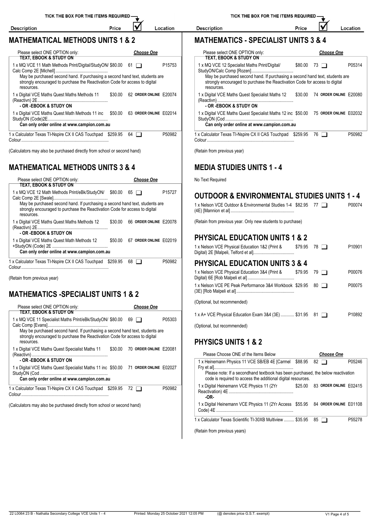IV

Price

#### **MATHEMATICAL METHODS UNITS 1 & 2**

Description

| Please select ONE OPTION only:<br>TEXT, EBOOK & STUDY ON                                                                                                                                                                                  |             | <b>Choose One</b>              |                    |            | Please select ONE OPTIO<br><b>TEXT, EBOOK &amp; STUD</b>                                                     |
|-------------------------------------------------------------------------------------------------------------------------------------------------------------------------------------------------------------------------------------------|-------------|--------------------------------|--------------------|------------|--------------------------------------------------------------------------------------------------------------|
| 1 x MQ VCE 11 Math Methods Print/Digital/StudyON/ \$80.00 61<br>May be purchased second hand. If purchasing a second hand text, students are<br>strongly encouraged to purchase the Reactivation Code for access to digital<br>resources. |             |                                | P <sub>15753</sub> | resources. | 1 x MQ VCE 12 Specialist M<br>StudyON/Calc Comp [Rozen<br>May be purchased secor<br>strongly encouraged to p |
| 1 x Digital VCE Maths Quest Maths Methods 11<br>- OR -EBOOK & STUDY ON                                                                                                                                                                    |             | \$30.00 62 ORDER ONLINE E20074 |                    |            | 1 x Digital VCE Maths Quest<br>(Reactivn)<br>- OR -EBOOK & STUDY                                             |
| 1 x Digital VCE Maths Quest Math Methods 11 inc \$50.00 63 ORDER ONLINE E02014<br>Can only order online at www.campion.com.au                                                                                                             |             |                                |                    |            | 1 x Digital VCE Maths Quest<br>StudyON (Cod<br>Can only order online a                                       |
| 1 x Calculator Texas TI-Nspire CX II CAS Touchpad \$259.95                                                                                                                                                                                | $64$ $\Box$ |                                | P50982             |            | 1 x Calculator Texas TI-Nspire                                                                               |

(Calculators may also be purchased directly from school or second hand)

### **MATHEMATICAL METHODS UNITS 3 & 4**

| Please select ONE OPTION only:                                                                                                                                                  | <b>Choose One</b>              | No Text Required                                                                                                                    |
|---------------------------------------------------------------------------------------------------------------------------------------------------------------------------------|--------------------------------|-------------------------------------------------------------------------------------------------------------------------------------|
| TEXT, EBOOK & STUDY ON<br>1 x MQ VCE 12 Math Methods Print/eBk/StudyON/ \$80.00 65<br>strongly encouraged to purchase the Reactivation Code for access to digital<br>resources. | P15727                         | <b>OUTDOOR &amp; ENVIRONMENTAL STUDIES UNITS 1 - 4</b><br>1 x Nelson VCE Outdoor & Environmental Studies 1-4 \$82.95 77 2<br>P00074 |
| 1 x Digital VCE Maths Quest Maths Methods 12<br>- OR -EBOOK & STUDY ON                                                                                                          | \$30.00 66 ORDER ONLINE E20078 | (Retain from previous year. Only new students to purchase)                                                                          |
| 1 x Digital VCE Maths Quest Math Methods 12                                                                                                                                     | \$50.00 67 ORDER ONLINE E02019 | <b>PHYSICAL EDUCATION UNITS 1 &amp; 2</b>                                                                                           |
| Can only order online at www.campion.com.au                                                                                                                                     |                                | P10901<br>1 x Nelson VCE Physical Education 1&2 (Print &<br>$$79.95$ 78 $\Box$                                                      |
| 1 x Calculator Texas TI-Nspire CX II CAS Touchpad \$259.95 68                                                                                                                   | P50982                         | <b>PHYSICAL EDUCATION UNITS 3 &amp; 4</b>                                                                                           |

(Retain from previous year)

#### **MATHEMATICS -SPECIALIST UNITS 1 & 2**

|                                                                                                                                                             |                        | (Optional, but recommended)                         |
|-------------------------------------------------------------------------------------------------------------------------------------------------------------|------------------------|-----------------------------------------------------|
| Please select ONE OPTION only:                                                                                                                              | <b>Choose One</b>      |                                                     |
| TEXT. EBOOK & STUDY ON                                                                                                                                      |                        | 1 x A+ VCE Physical Education Exam 3&4 (3E)         |
| 1 x MQ VCE 11 Specialist Maths Print/eBk/StudyON/ \$80.00 69                                                                                                |                        | P05303                                              |
|                                                                                                                                                             |                        | (Optional, but recommended)                         |
| May be purchased second hand. If purchasing a second hand text, students are<br>strongly encouraged to purchase the Reactivation Code for access to digital |                        |                                                     |
| resources.                                                                                                                                                  |                        | <b>PHYSICS UNITS 1 &amp; 2</b>                      |
| \$30.00<br>1 x Digital VCE Maths Quest Specialist Maths 11                                                                                                  | 70 ORDER ONLINE E20081 |                                                     |
|                                                                                                                                                             |                        | Please Choose ONE of the Items Below                |
| - OR -EBOOK & STUDY ON                                                                                                                                      |                        | 1 x Heinemann Physics 11 VCE SB/EB 4E [Carmel       |
| 1 x Digital VCE Maths Quest Specialist Maths 11 inc \$50.00 71 ORDER ONLINE E02027                                                                          |                        |                                                     |
|                                                                                                                                                             |                        | Please note: If a secondhand textbook has bee       |
| Can only order online at www.campion.com.au                                                                                                                 |                        | code is required to access the additional digital   |
| 1 x Calculator Texas TI-Nspire CX II CAS Touchpad \$259.95 72                                                                                               |                        | 1 x Digital Heinemann VCE Physics 11 (2Yr<br>P50982 |
|                                                                                                                                                             |                        |                                                     |
|                                                                                                                                                             |                        | -OR-                                                |
|                                                                                                                                                             |                        |                                                     |

(Calculators may also be purchased directly from school or second hand)

Price

 $\overline{\blacktriangledown}$ Location

### **MATHEMATICS - SPECIALIST UNITS 3 & 4**

| Please select ONE OPTION only:                                                                                                                                            |          | <b>Choose One</b>      |        |
|---------------------------------------------------------------------------------------------------------------------------------------------------------------------------|----------|------------------------|--------|
| TEXT, EBOOK & STUDY ON                                                                                                                                                    |          |                        |        |
| 1 x MQ VCE 12 Specialist Maths Print/Digital/                                                                                                                             | \$80.00  | 73                     | P05314 |
| May be purchased second hand. If purchasing a second hand text, students are<br>strongly encouraged to purchase the Reactivation Code for access to digital<br>resources. |          |                        |        |
| 1 x Digital VCE Maths Quest Specialist Maths 12<br>- OR -EBOOK & STUDY ON                                                                                                 | \$30.00  | 74 ORDER ONLINE E20080 |        |
| 1 x Digital VCE Maths Quest Specialist Maths 12 inc \$50.00 75 ORDER ONLINE E02032                                                                                        |          |                        |        |
| Can only order online at www.campion.com.au                                                                                                                               |          |                        |        |
| 1 x Calculator Texas TI-Nspire CX II CAS Touchpad<br>Colour.                                                                                                              | \$259.95 | 76                     | P50982 |

(Retain from previous year)

### **MEDIA STUDIES UNITS 1 - 4**

Description

| 1 x Nelson VCE Outdoor & Environmental Studies 1-4 \$82.95 77 | P00074 |
|---------------------------------------------------------------|--------|
|                                                               |        |

### **PHYSICAL EDUCATION UNITS 1 & 2**

| 1 x Nelson VCE Physical Education 1&2 (Print &                                                       | \$79.95<br>78 |           | P10901 |
|------------------------------------------------------------------------------------------------------|---------------|-----------|--------|
| <b>PHYSICAL EDUCATION UNITS 3 &amp; 4</b>                                                            |               |           |        |
| 1 x Nelson VCE Physical Education 3&4 (Print &                                                       | \$79.95       | 79 I I    | P00076 |
| 1 x Nelson VCE PE Peak Performance 3&4 Workbook \$29.95                                              |               | $80 \Box$ | P00075 |
| (Optional, but recommended)                                                                          |               |           |        |
| 1 x A+ VCE Physical Education Exam 3&4 (3E) \$31.95 81                                               |               |           | P10892 |
| $\sqrt{2}$ and $\sqrt{2}$ and $\sqrt{2}$ and $\sqrt{2}$ and $\sqrt{2}$ and $\sqrt{2}$ and $\sqrt{2}$ |               |           |        |

### **PHYSICS UNITS 1 & 2**

| Please Choose ONE of the Items Below                                                                                                                                                              |         |    | <b>Choose One</b>      |                    |
|---------------------------------------------------------------------------------------------------------------------------------------------------------------------------------------------------|---------|----|------------------------|--------------------|
| 1 x Heinemann Physics 11 VCE SB/EB 4E [Carmel<br>Please note: If a secondhand textbook has been purchased, the below reactivation<br>code is required to access the additional digital resources. | \$88.95 | 82 |                        | P05246             |
| 1 x Digital Heinemann VCE Physics 11 (2Yr<br>-OR-                                                                                                                                                 | \$25.00 |    | 83 ORDER ONLINE F02415 |                    |
| 1 x Digital Heinemann VCE Physics 11 (2Yr Access \$55.95 84 ORDER ONLINE E01108                                                                                                                   |         |    |                        |                    |
| 1 x Calculator Texas Scientific TI-30XB Multiview  \$35.95                                                                                                                                        |         |    | $85$ $\Box$            | P <sub>55278</sub> |

(Retain from previous years)